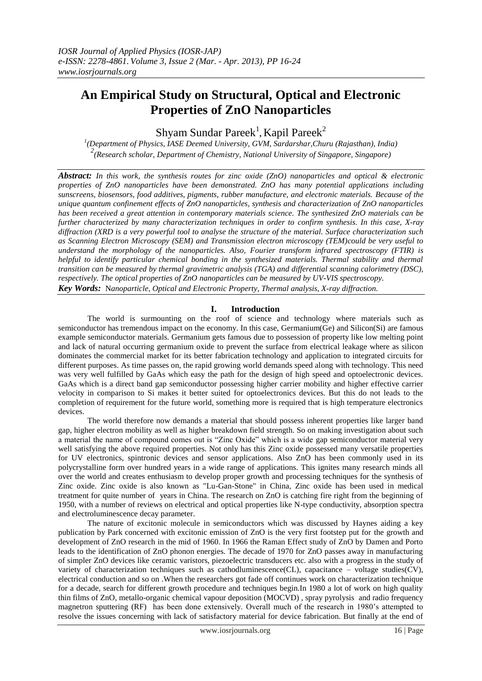# **An Empirical Study on Structural, Optical and Electronic Properties of ZnO Nanoparticles**

Shyam Sundar Pareek<sup>1</sup>, Kapil Pareek<sup>2</sup>

*1 (Department of Physics, IASE Deemed University, GVM, Sardarshar,Churu (Rajasthan), India) 2 (Research scholar, Department of Chemistry, National University of Singapore, Singapore)*

*Abstract: In this work, the synthesis routes for zinc oxide (ZnO) nanoparticles and optical & electronic properties of ZnO nanoparticles have been demonstrated. ZnO has many potential applications including sunscreens, biosensors, food additives, pigments, rubber manufacture, and electronic materials. Because of the unique quantum confinement effects of ZnO nanoparticles, synthesis and characterization of ZnO nanoparticles has been received a great attention in contemporary materials science. The synthesized ZnO materials can be further characterized by many characterization techniques in order to confirm synthesis. In this case, X-ray diffraction (XRD is a very powerful tool to analyse the structure of the material. Surface characterization such as Scanning Electron Microscopy (SEM) and Transmission electron microscopy (TEM)could be very useful to understand the morphology of the nanoparticles. Also, Fourier transform infrared spectroscopy (FTIR) is helpful to identify particular chemical bonding in the synthesized materials. Thermal stability and thermal transition can be measured by thermal gravimetric analysis (TGA) and differential scanning calorimetry (DSC), respectively. The optical properties of ZnO nanoparticles can be measured by UV-VIS spectroscopy. Key Words:* N*anoparticle, Optical and Electronic Property*, *Thermal analysis, X-ray diffraction.*

## **I. Introduction**

The world is surmounting on the roof of science and technology where materials such as semiconductor has tremendous impact on the economy. In this case, Germanium(Ge) and Silicon(Si) are famous example semiconductor materials. Germanium gets famous due to possession of property like low melting point and lack of natural occurring germanium oxide to prevent the surface from electrical leakage where as silicon dominates the commercial market for its better fabrication technology and application to integrated circuits for different purposes. As time passes on, the rapid growing world demands speed along with technology. This need was very well fulfilled by GaAs which easy the path for the design of high speed and optoelectronic devices. GaAs which is a direct band gap semiconductor possessing higher carrier mobility and higher effective carrier velocity in comparison to Si makes it better suited for optoelectronics devices. But this do not leads to the completion of requirement for the future world, something more is required that is high temperature electronics devices.

The world therefore now demands a material that should possess inherent properties like larger band gap, higher electron mobility as well as higher breakdown field strength. So on making investigation about such a material the name of compound comes out is "Zinc Oxide" which is a wide gap semiconductor material very well satisfying the above required properties. Not only has this Zinc oxide possessed many versatile properties for UV electronics, spintronic devices and sensor applications. Also ZnO has been commonly used in its polycrystalline form over hundred years in a wide range of applications. This ignites many research minds all over the world and creates enthusiasm to develop proper growth and processing techniques for the synthesis of Zinc oxide. Zinc oxide is also known as "Lu-Gan-Stone" in China, Zinc oxide has been used in medical treatment for quite number of years in China. The research on ZnO is catching fire right from the beginning of 1950, with a number of reviews on electrical and optical properties like N-type conductivity, absorption spectra and electroluminescence decay parameter.

The nature of excitonic molecule in semiconductors which was discussed by Haynes aiding a key publication by Park concerned with excitonic emission of ZnO is the very first footstep put for the growth and development of ZnO research in the mid of 1960. In 1966 the Raman Effect study of ZnO by Damen and Porto leads to the identification of ZnO phonon energies. The decade of 1970 for ZnO passes away in manufacturing of simpler ZnO devices like ceramic varistors, piezoelectric transducers etc. also with a progress in the study of variety of characterization techniques such as cathodluminescence(CL), capacitance – voltage studies(CV), electrical conduction and so on .When the researchers got fade off continues work on characterization technique for a decade, search for different growth procedure and techniques begin.In 1980 a lot of work on high quality thin films of ZnO, metallo-organic chemical vapour deposition (MOCVD) , spray pyrolysis and radio frequency magnetron sputtering (RF) has been done extensively. Overall much of the research in 1980's attempted to resolve the issues concerning with lack of satisfactory material for device fabrication. But finally at the end of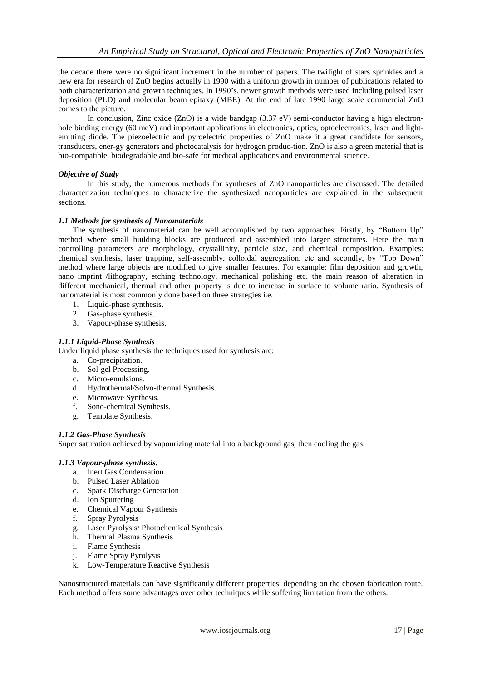the decade there were no significant increment in the number of papers. The twilight of stars sprinkles and a new era for research of ZnO begins actually in 1990 with a uniform growth in number of publications related to both characterization and growth techniques. In 1990's, newer growth methods were used including pulsed laser deposition (PLD) and molecular beam epitaxy (MBE). At the end of late 1990 large scale commercial ZnO comes to the picture.

In conclusion, Zinc oxide (ZnO) is a wide bandgap (3.37 eV) semi-conductor having a high electronhole binding energy (60 meV) and important applications in electronics, optics, optoelectronics, laser and lightemitting diode. The piezoelectric and pyroelectric properties of ZnO make it a great candidate for sensors, transducers, ener-gy generators and photocatalysis for hydrogen produc-tion. ZnO is also a green material that is bio-compatible, biodegradable and bio-safe for medical applications and environmental science.

# *Objective of Study*

In this study, the numerous methods for syntheses of ZnO nanoparticles are discussed. The detailed characterization techniques to characterize the synthesized nanoparticles are explained in the subsequent sections.

## *1.1 Methods for synthesis of Nanomaterials*

The synthesis of nanomaterial can be well accomplished by two approaches. Firstly, by "Bottom Up" method where small building blocks are produced and assembled into larger structures. Here the main controlling parameters are morphology, crystallinity, particle size, and chemical composition. Examples: chemical synthesis, laser trapping, self-assembly, colloidal aggregation, etc and secondly, by "Top Down" method where large objects are modified to give smaller features. For example: film deposition and growth, nano imprint /lithography, etching technology, mechanical polishing etc. the main reason of alteration in different mechanical, thermal and other property is due to increase in surface to volume ratio. Synthesis of nanomaterial is most commonly done based on three strategies i.e.

- 1. Liquid-phase synthesis.
- 2. Gas-phase synthesis.
- 3. Vapour-phase synthesis.
- *1.1.1 Liquid-Phase Synthesis*

Under liquid phase synthesis the techniques used for synthesis are:

- a. Co-precipitation.
- b. Sol-gel Processing.
- c. Micro-emulsions.
- d. Hydrothermal/Solvo-thermal Synthesis.
- e. Microwave Synthesis.
- f. Sono-chemical Synthesis.
- g. Template Synthesis.

# *1.1.2 Gas-Phase Synthesis*

Super saturation achieved by vapourizing material into a background gas, then cooling the gas.

#### *1.1.3 Vapour-phase synthesis.*

- a. Inert Gas Condensation
- b. Pulsed Laser Ablation
- c. Spark Discharge Generation
- d. Ion Sputtering
- e. Chemical Vapour Synthesis
- f. Spray Pyrolysis
- g. Laser Pyrolysis/ Photochemical Synthesis
- h. Thermal Plasma Synthesis
- i. Flame Synthesis
- j. Flame Spray Pyrolysis
- k. Low-Temperature Reactive Synthesis

Nanostructured materials can have significantly different properties, depending on the chosen fabrication route. Each method offers some advantages over other techniques while suffering limitation from the others.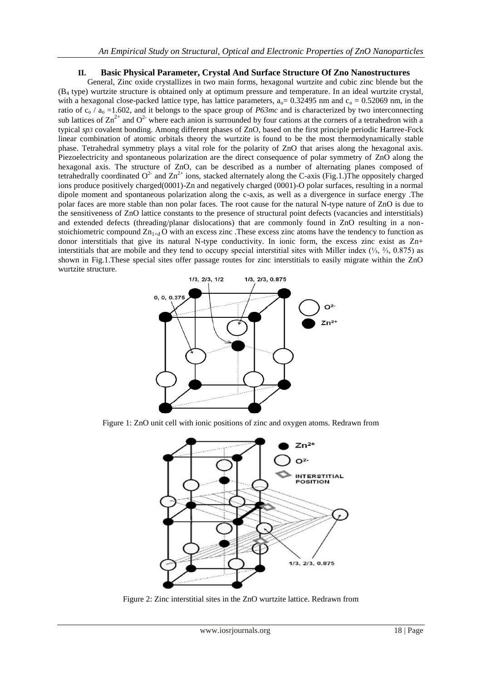# **II. Basic Physical Parameter, Crystal And Surface Structure Of Zno Nanostructures**

General, Zinc oxide crystallizes in two main forms, hexagonal wurtzite and cubic zinc blende but the (B<sup>4</sup> type) wurtzite structure is obtained only at optimum pressure and temperature. In an ideal wurtzite crystal, with a hexagonal close-packed lattice type, has lattice parameters,  $a_0 = 0.32495$  nm and  $c_0 = 0.52069$  nm, in the ratio of  $c_0 / a_0 = 1.602$ , and it belongs to the space group of *P63mc* and is characterized by two interconnecting sub lattices of  $\text{Zn}^{2+}$  and  $\text{O}^{2-}$  where each anion is surrounded by four cations at the corners of a tetrahedron with a typical *sp3* covalent bonding. Among different phases of ZnO, based on the first principle periodic Hartree-Fock linear combination of atomic orbitals theory the wurtzite is found to be the most thermodynamically stable phase. Tetrahedral symmetry plays a vital role for the polarity of ZnO that arises along the hexagonal axis. Piezoelectricity and spontaneous polarization are the direct consequence of polar symmetry of ZnO along the hexagonal axis. The structure of ZnO, can be described as a number of alternating planes composed of tetrahedrally coordinated  $O^2$  and  $Zn^{2+}$  ions, stacked alternately along the C-axis (Fig.1.)The oppositely charged ions produce positively charged(0001)-Zn and negatively charged (0001)-O polar surfaces, resulting in a normal dipole moment and spontaneous polarization along the c-axis, as well as a divergence in surface energy .The polar faces are more stable than non polar faces. The root cause for the natural N-type nature of ZnO is due to the sensitiveness of ZnO lattice constants to the presence of structural point defects (vacancies and interstitials) and extended defects (threading/planar dislocations) that are commonly found in ZnO resulting in a nonstoichiometric compound  $Zn_{1+d}$  O with an excess zinc. These excess zinc atoms have the tendency to function as donor interstitials that give its natural N-type conductivity. In ionic form, the excess zinc exist as Zn+ interstitials that are mobile and they tend to occupy special interstitial sites with Miller index (⅓, ⅔, 0.875) as shown in Fig.1.These special sites offer passage routes for zinc interstitials to easily migrate within the ZnO wurtzite structure.



Figure 1: ZnO unit cell with ionic positions of zinc and oxygen atoms. Redrawn from



Figure 2: Zinc interstitial sites in the ZnO wurtzite lattice. Redrawn from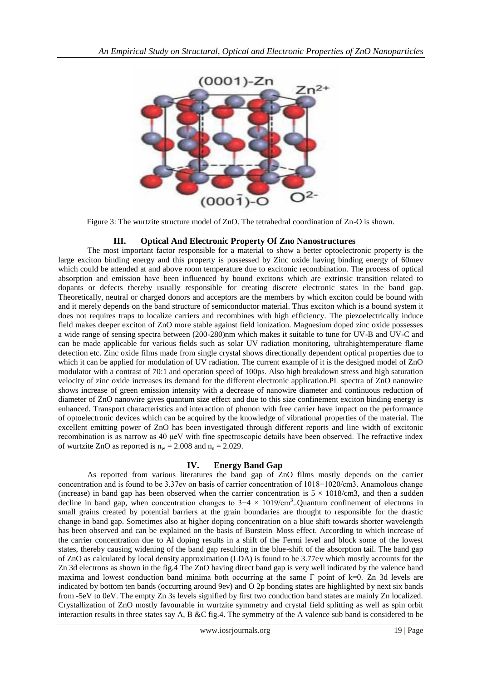

Figure 3: The wurtzite structure model of ZnO. The tetrahedral coordination of Zn-O is shown.

# **III. Optical And Electronic Property Of Zno Nanostructures**

The most important factor responsible for a material to show a better optoelectronic property is the large exciton binding energy and this property is possessed by Zinc oxide having binding energy of 60mev which could be attended at and above room temperature due to excitonic recombination. The process of optical absorption and emission have been influenced by bound excitons which are extrinsic transition related to dopants or defects thereby usually responsible for creating discrete electronic states in the band gap. Theoretically, neutral or charged donors and acceptors are the members by which exciton could be bound with and it merely depends on the band structure of semiconductor material. Thus exciton which is a bound system it does not requires traps to localize carriers and recombines with high efficiency. The piezoelectrically induce field makes deeper exciton of ZnO more stable against field ionization. Magnesium doped zinc oxide possesses a wide range of sensing spectra between (200-280)nm which makes it suitable to tune for UV-B and UV-C and can be made applicable for various fields such as solar UV radiation monitoring, ultrahightemperature flame detection etc. Zinc oxide films made from single crystal shows directionally dependent optical properties due to which it can be applied for modulation of UV radiation. The current example of it is the designed model of ZnO modulator with a contrast of 70:1 and operation speed of 100ps. Also high breakdown stress and high saturation velocity of zinc oxide increases its demand for the different electronic application.PL spectra of ZnO nanowire shows increase of green emission intensity with a decrease of nanowire diameter and continuous reduction of diameter of ZnO nanowire gives quantum size effect and due to this size confinement exciton binding energy is enhanced. Transport characteristics and interaction of phonon with free carrier have impact on the performance of optoelectronic devices which can be acquired by the knowledge of vibrational properties of the material. The excellent emitting power of ZnO has been investigated through different reports and line width of excitonic recombination is as narrow as 40 μeV with fine spectroscopic details have been observed. The refractive index of wurtzite ZnO as reported is  $n_w = 2.008$  and  $n_e = 2.029$ .

# **IV. Energy Band Gap**

As reported from various literatures the band gap of ZnO films mostly depends on the carrier concentration and is found to be 3.37ev on basis of carrier concentration of 1018−1020/cm3. Anamolous change (increase) in band gap has been observed when the carrier concentration is  $5 \times 1018$ /cm3, and then a sudden decline in band gap, when concentration changes to  $3-4 \times 1019/\text{cm}^3$ . Quantum confinement of electrons in small grains created by potential barriers at the grain boundaries are thought to responsible for the drastic change in band gap. Sometimes also at higher doping concentration on a blue shift towards shorter wavelength has been observed and can be explained on the basis of Burstein–Moss effect. According to which increase of the carrier concentration due to Al doping results in a shift of the Fermi level and block some of the lowest states, thereby causing widening of the band gap resulting in the blue-shift of the absorption tail. The band gap of ZnO as calculated by local density approximation (LDA) is found to be 3.77ev which mostly accounts for the Zn 3d electrons as shown in the fig.4 The ZnO having direct band gap is very well indicated by the valence band maxima and lowest conduction band minima both occurring at the same  $\Gamma$  point of k=0. Zn 3d levels are indicated by bottom ten bands (occurring around 9ev) and O 2p bonding states are highlighted by next six bands from -5eV to 0eV. The empty Zn 3s levels signified by first two conduction band states are mainly Zn localized. Crystallization of ZnO mostly favourable in wurtzite symmetry and crystal field splitting as well as spin orbit interaction results in three states say A, B &C fig.4. The symmetry of the A valence sub band is considered to be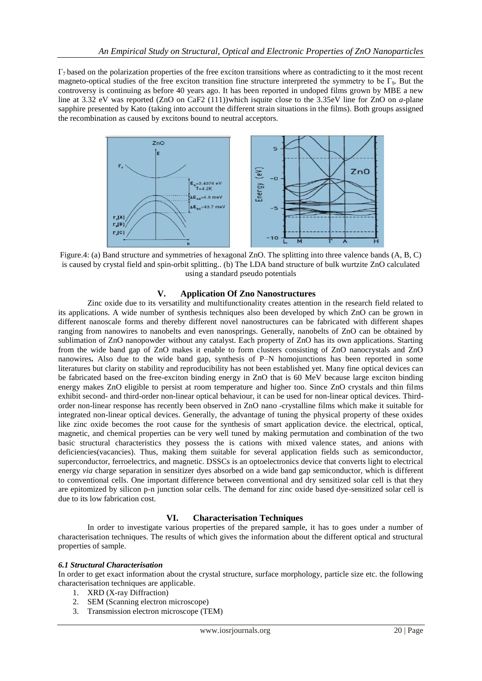$\Gamma_7$  based on the polarization properties of the free exciton transitions where as contradicting to it the most recent magneto-optical studies of the free exciton transition fine structure interpreted the symmetry to be  $\Gamma_{9}$ . But the controversy is continuing as before 40 years ago. It has been reported in undoped films grown by MBE a new line at 3.32 eV was reported (ZnO on CaF2 (111))which isquite close to the 3.35eV line for ZnO on *a*-plane sapphire presented by Kato (taking into account the different strain situations in the films). Both groups assigned the recombination as caused by excitons bound to neutral acceptors.



Figure.4: (a) Band structure and symmetries of hexagonal ZnO. The splitting into three valence bands (A, B, C) is caused by crystal field and spin-orbit splitting.. (b) The LDA band structure of bulk wurtzite ZnO calculated using a standard pseudo potentials

#### **V. Application Of Zno Nanostructures**

Zinc oxide due to its versatility and multifunctionality creates attention in the research field related to its applications. A wide number of synthesis techniques also been developed by which ZnO can be grown in different nanoscale forms and thereby different novel nanostructures can be fabricated with different shapes ranging from nanowires to nanobelts and even nanosprings. Generally, nanobelts of ZnO can be obtained by sublimation of ZnO nanopowder without any catalyst. Each property of ZnO has its own applications. Starting from the wide band gap of ZnO makes it enable to form clusters consisting of ZnO nanocrystals and ZnO nanowires**.** Also due to the wide band gap, synthesis of P–N homojunctions has been reported in some literatures but clarity on stability and reproducibility has not been established yet. Many fine optical devices can be fabricated based on the free-exciton binding energy in ZnO that is 60 MeV because large exciton binding energy makes ZnO eligible to persist at room temperature and higher too. Since ZnO crystals and thin films exhibit second- and third-order non-linear optical behaviour, it can be used for non-linear optical devices. Thirdorder non-linear response has recently been observed in ZnO nano -crystalline films which make it suitable for integrated non-linear optical devices. Generally, the advantage of tuning the physical property of these oxides like zinc oxide becomes the root cause for the synthesis of smart application device. the electrical, optical, magnetic, and chemical properties can be very well tuned by making permutation and combination of the two basic structural characteristics they possess the is cations with mixed valence states, and anions with deficiencies(vacancies). Thus, making them suitable for several application fields such as semiconductor, superconductor, ferroelectrics, and magnetic. DSSCs is an optoelectronics device that converts light to electrical energy *via* charge separation in sensitizer dyes absorbed on a wide band gap semiconductor, which is different to conventional cells. One important difference between conventional and dry sensitized solar cell is that they are epitomized by silicon p-n junction solar cells. The demand for zinc oxide based dye-sensitized solar cell is due to its low fabrication cost.

# **VI. Characterisation Techniques**

In order to investigate various properties of the prepared sample, it has to goes under a number of characterisation techniques. The results of which gives the information about the different optical and structural properties of sample.

#### *6.1 Structural Characterisation*

In order to get exact information about the crystal structure, surface morphology, particle size etc. the following characterisation techniques are applicable.

- 1. XRD (X-ray Diffraction)
- 2. SEM (Scanning electron microscope)
- 3. Transmission electron microscope (TEM)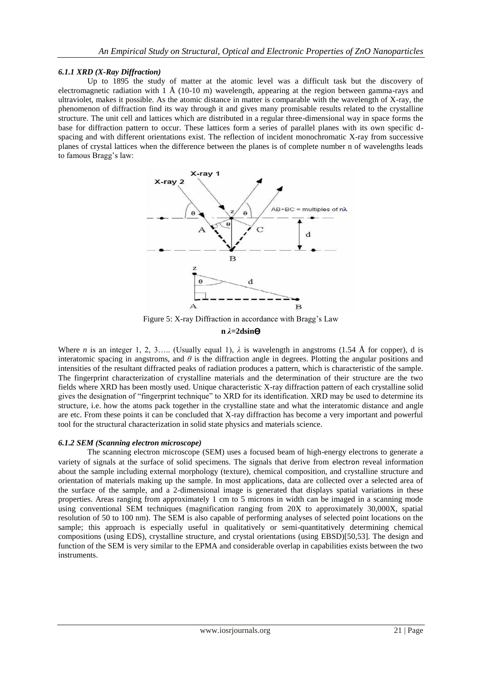## *6.1.1 XRD (X-Ray Diffraction)*

Up to 1895 the study of matter at the atomic level was a difficult task but the discovery of electromagnetic radiation with 1  $\AA$  (10-10 m) wavelength, appearing at the region between gamma-rays and ultraviolet, makes it possible. As the atomic distance in matter is comparable with the wavelength of X-ray, the phenomenon of diffraction find its way through it and gives many promisable results related to the crystalline structure. The unit cell and lattices which are distributed in a regular three-dimensional way in space forms the base for diffraction pattern to occur. These lattices form a series of parallel planes with its own specific dspacing and with different orientations exist. The reflection of incident monochromatic X-ray from successive planes of crystal lattices when the difference between the planes is of complete number n of wavelengths leads to famous Bragg's law:



Figure 5: X-ray Diffraction in accordance with Bragg's Law

#### **n**  $λ=2$ dsin $Θ$

Where *n* is an integer 1, 2, 3..... (Usually equal 1),  $\lambda$  is wavelength in angstroms (1.54 Å for copper), d is interatomic spacing in angstroms, and  $\theta$  is the diffraction angle in degrees. Plotting the angular positions and intensities of the resultant diffracted peaks of radiation produces a pattern, which is characteristic of the sample. The fingerprint characterization of crystalline materials and the determination of their structure are the two fields where XRD has been mostly used. Unique characteristic X-ray diffraction pattern of each crystalline solid gives the designation of "fingerprint technique" to XRD for its identification. XRD may be used to determine its structure, i.e. how the atoms pack together in the crystalline state and what the interatomic distance and angle are etc. From these points it can be concluded that X-ray diffraction has become a very important and powerful tool for the structural characterization in solid state physics and materials science.

#### *6.1.2 SEM (Scanning electron microscope)*

The scanning electron microscope (SEM) uses a focused beam of high-energy electrons to generate a variety of signals at the surface of solid specimens. The signals that derive from electron reveal information about the sample including external morphology (texture), chemical composition, and crystalline structure and orientation of materials making up the sample. In most applications, data are collected over a selected area of the surface of the sample, and a 2-dimensional image is generated that displays spatial variations in these properties. Areas ranging from approximately 1 cm to 5 microns in width can be imaged in a scanning mode using conventional SEM techniques (magnification ranging from 20X to approximately 30,000X, spatial resolution of 50 to 100 nm). The SEM is also capable of performing analyses of selected point locations on the sample; this approach is especially useful in qualitatively or semi-quantitatively determining chemical compositions (using EDS), crystalline structure, and crystal orientations (using EBSD)[50,53]. The design and function of the SEM is very similar to the EPMA and considerable overlap in capabilities exists between the two instruments.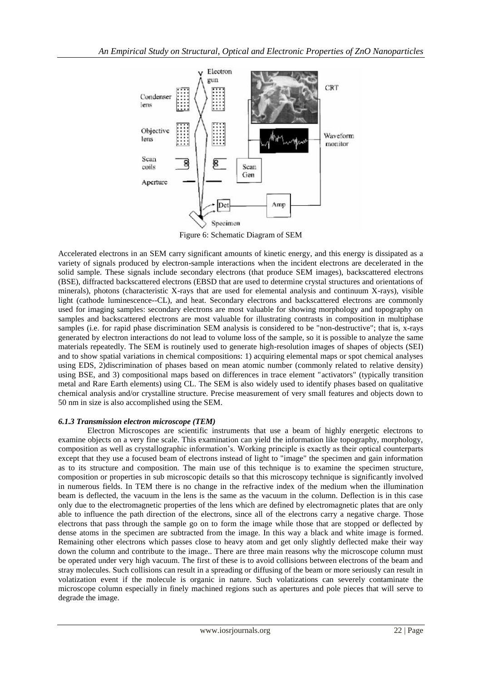

Figure 6: Schematic Diagram of SEM

Accelerated electrons in an SEM carry significant amounts of kinetic energy, and this energy is dissipated as a variety of signals produced by electron-sample interactions when the incident electrons are decelerated in the solid sample. These signals include secondary electrons (that produce SEM images), backscattered electrons (BSE), diffracted backscattered electrons (EBSD that are used to determine crystal structures and orientations of minerals), photons (characteristic X-rays that are used for elemental analysis and continuum X-rays), visible light (cathode luminescence--CL), and heat. Secondary electrons and backscattered electrons are commonly used for imaging samples: secondary electrons are most valuable for showing morphology and topography on samples and backscattered electrons are most valuable for illustrating contrasts in composition in multiphase samples (i.e. for rapid phase discrimination SEM analysis is considered to be "non-destructive"; that is, x-rays generated by electron interactions do not lead to volume loss of the sample, so it is possible to analyze the same materials repeatedly. The SEM is routinely used to generate high-resolution images of shapes of objects (SEI) and to show spatial variations in chemical compositions: 1) acquiring elemental maps or spot chemical analyses using EDS, 2)discrimination of phases based on mean atomic number (commonly related to relative density) using BSE, and 3) compositional maps based on differences in trace element "activators" (typically transition metal and Rare Earth elements) using CL. The SEM is also widely used to identify phases based on qualitative chemical analysis and/or crystalline structure. Precise measurement of very small features and objects down to 50 nm in size is also accomplished using the SEM.

# *6.1.3 Transmission electron microscope (TEM)*

Electron Microscopes are scientific instruments that use a beam of highly energetic electrons to examine objects on a very fine scale. This examination can yield the information like topography, morphology, composition as well as crystallographic information's. Working principle is exactly as their optical counterparts except that they use a focused beam of electrons instead of light to "image" the specimen and gain information as to its structure and composition. The main use of this technique is to examine the specimen structure, composition or properties in sub microscopic details so that this microscopy technique is significantly involved in numerous fields. In TEM there is no change in the refractive index of the medium when the illumination beam is deflected, the vacuum in the lens is the same as the vacuum in the column. Deflection is in this case only due to the electromagnetic properties of the lens which are defined by electromagnetic plates that are only able to influence the path direction of the electrons, since all of the electrons carry a negative charge. Those electrons that pass through the sample go on to form the image while those that are stopped or deflected by dense atoms in the specimen are subtracted from the image. In this way a black and white image is formed. Remaining other electrons which passes close to heavy atom and get only slightly deflected make their way down the column and contribute to the image.. There are three main reasons why the microscope column must be operated under very high vacuum. The first of these is to avoid collisions between electrons of the beam and stray molecules. Such collisions can result in a spreading or diffusing of the beam or more seriously can result in volatization event if the molecule is organic in nature. Such volatizations can severely contaminate the microscope column especially in finely machined regions such as apertures and pole pieces that will serve to degrade the image.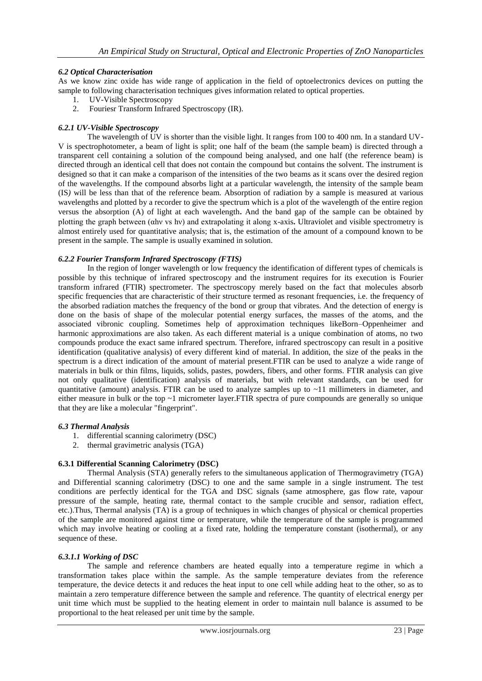## *6.2 Optical Characterisation*

As we know zinc oxide has wide range of application in the field of optoelectronics devices on putting the sample to following characterisation techniques gives information related to optical properties.

- 1. UV-Visible Spectroscopy
- 2. Fouriesr Transform Infrared Spectroscopy (IR).

## *6.2.1 UV-Visible Spectroscopy*

The wavelength of UV is shorter than the visible light. It ranges from 100 to 400 nm. In a standard UV-V is spectrophotometer, a beam of light is split; one half of the beam (the sample beam) is directed through a transparent cell containing a solution of the compound being analysed, and one half (the reference beam) is directed through an identical cell that does not contain the compound but contains the solvent. The instrument is designed so that it can make a comparison of the intensities of the two beams as it scans over the desired region of the wavelengths. If the compound absorbs light at a particular wavelength, the intensity of the sample beam (IS*)* will be less than that of the reference beam. Absorption of radiation by a sample is measured at various wavelengths and plotted by a recorder to give the spectrum which is a plot of the wavelength of the entire region versus the absorption (A) of light at each wavelength**.** And the band gap of the sample can be obtained by plotting the graph between (αhν vs hν) and extrapolating it along x-axis**.** Ultraviolet and visible spectrometry is almost entirely used for quantitative analysis; that is, the estimation of the amount of a compound known to be present in the sample. The sample is usually examined in solution.

## *6.2.2 Fourier Transform Infrared Spectroscopy (FTIS)*

In the region of longer wavelength or low frequency the identification of different types of chemicals is possible by this technique of infrared spectroscopy and the instrument requires for its execution is Fourier transform infrared (FTIR) spectrometer. The spectroscopy merely based on the fact that molecules absorb specific frequencies that are characteristic of their structure termed as resonant frequencies, i.e. the frequency of the absorbed radiation matches the frequency of the bond or group that vibrates. And the detection of energy is done on the basis of shape of the molecular potential energy surfaces, the masses of the atoms, and the associated vibronic coupling. Sometimes help of approximation techniques likeBorn–Oppenheimer and harmonic approximations are also taken. As each different material is a unique combination of atoms, no two compounds produce the exact same infrared spectrum. Therefore, infrared spectroscopy can result in a positive identification (qualitative analysis) of every different kind of material. In addition, the size of the peaks in the spectrum is a direct indication of the amount of material present.FTIR can be used to analyze a wide range of materials in bulk or thin films, liquids, solids, pastes, powders, fibers, and other forms. FTIR analysis can give not only qualitative (identification) analysis of materials, but with relevant standards, can be used for quantitative (amount) analysis. FTIR can be used to analyze samples up to  $\sim$ 11 millimeters in diameter, and either measure in bulk or the top  $\sim$ 1 micrometer layer. FTIR spectra of pure compounds are generally so unique that they are like a molecular "fingerprint".

#### *6.3 Thermal Analysis*

- 1. differential scanning calorimetry (DSC)
- 2. thermal gravimetric analysis (TGA)

# **6.3.1 Differential Scanning Calorimetry (DSC)**

Thermal Analysis (STA) generally refers to the simultaneous application of Thermogravimetry (TGA) and Differential scanning calorimetry (DSC) to one and the same sample in a single instrument. The test conditions are perfectly identical for the TGA and DSC signals (same atmosphere, gas flow rate, vapour pressure of the sample, heating rate, thermal contact to the sample crucible and sensor, radiation effect, etc.).Thus, Thermal analysis (TA) is a group of techniques in which changes of physical or chemical properties of the sample are monitored against time or temperature, while the temperature of the sample is programmed which may involve heating or cooling at a fixed rate, holding the temperature constant (isothermal), or any sequence of these.

### *6.3.1.1 Working of DSC*

The sample and reference chambers are heated equally into a temperature regime in which a transformation takes place within the sample. As the sample temperature deviates from the reference temperature, the device detects it and reduces the heat input to one cell while adding heat to the other, so as to maintain a zero temperature difference between the sample and reference. The quantity of electrical energy per unit time which must be supplied to the heating element in order to maintain null balance is assumed to be proportional to the heat released per unit time by the sample.